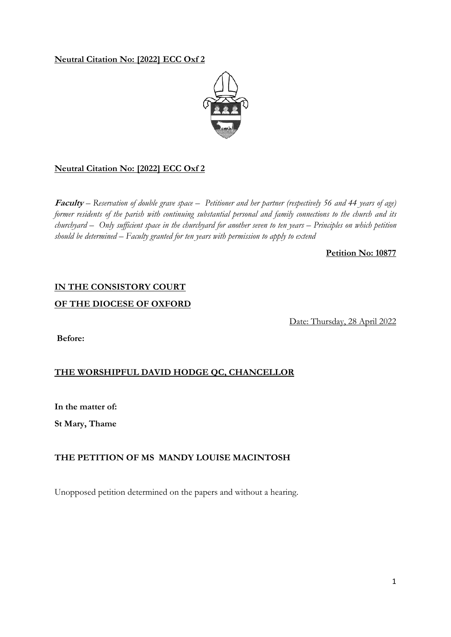# **Neutral Citation No: [2022] ECC Oxf 2**



# **Neutral Citation No: [2022] ECC Oxf 2**

**Faculty** *– Reservation of double grave space – Petitioner and her partner (respectively 56 and 44 years of age) former residents of the parish with continuing substantial personal and family connections to the church and its churchyard – Only sufficient space in the churchyard for another seven to ten years – Principles on which petition should be determined – Faculty granted for ten years with permission to apply to extend* 

### **Petition No: 10877**

# **IN THE CONSISTORY COURT**

## **OF THE DIOCESE OF OXFORD**

Date: Thursday, 28 April 2022

**Before:**

# **THE WORSHIPFUL DAVID HODGE QC, CHANCELLOR**

**In the matter of:** 

**St Mary, Thame** 

# **THE PETITION OF MS MANDY LOUISE MACINTOSH**

Unopposed petition determined on the papers and without a hearing.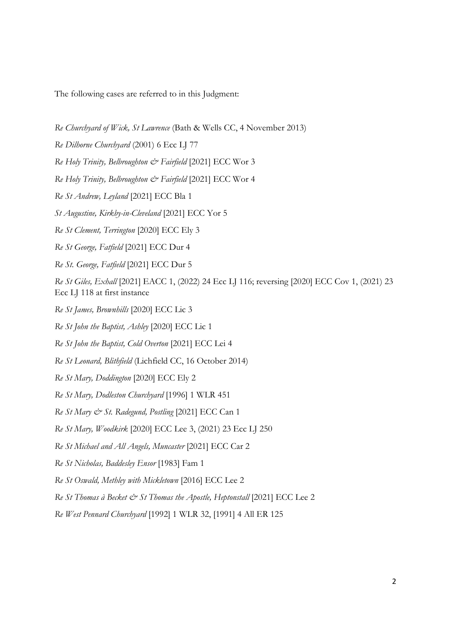The following cases are referred to in this Judgment:

- *Re Churchyard of Wick, St Lawrence* (Bath & Wells CC, 4 November 2013)
- *Re Dilhorne Churchyard* (2001) 6 Ecc LJ 77
- *Re Holy Trinity, Belbroughton & Fairfield* [2021] ECC Wor 3
- *Re Holy Trinity, Belbroughton & Fairfield* [2021] ECC Wor 4
- *Re St Andrew, Leyland* [2021] ECC Bla 1
- *St Augustine, Kirkby-in-Cleveland* [2021] ECC Yor 5
- *Re St Clement, Terrington* [2020] ECC Ely 3
- *Re St George, Fatfield* [2021] ECC Dur 4
- *Re St. George, Fatfield* [2021] ECC Dur 5

*Re St Giles, Exhall* [2021] EACC 1, (2022) 24 Ecc LJ 116; reversing [2020] ECC Cov 1, (2021) 23 Ecc LJ 118 at first instance

- *Re St James, Brownhills* [2020] ECC Lic 3
- *Re St John the Baptist, Ashley* [2020] ECC Lic 1
- *Re St John the Baptist, Cold Overton* [2021] ECC Lei 4
- *Re St Leonard, Blithfield* (Lichfield CC, 16 October 2014)
- *Re St Mary, Doddington* [2020] ECC Ely 2
- *Re St Mary, Dodleston Churchyard* [1996] 1 WLR 451
- *Re St Mary & St. Radegund, Postling* [2021] ECC Can 1
- *Re St Mary, Woodkirk* [2020] ECC Lee 3, (2021) 23 Ecc LJ 250
- *Re St Michael and All Angels, Muncaster* [2021] ECC Car 2
- *Re St Nicholas, Baddesley Ensor* [1983] Fam 1
- *Re St Oswald, Methley with Mickletown* [2016] ECC Lee 2
- *Re St Thomas à Becket & St Thomas the Apostle, Heptonstall* [2021] ECC Lee 2
- *Re West Pennard Churchyard* [1992] 1 WLR 32, [1991] 4 All ER 125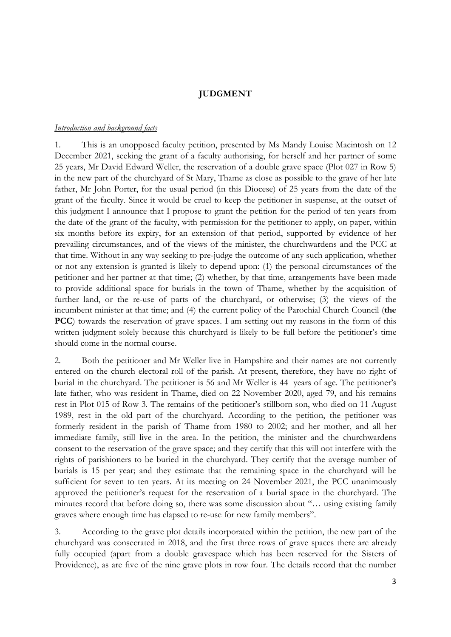#### **JUDGMENT**

#### *Introduction and background facts*

1. This is an unopposed faculty petition, presented by Ms Mandy Louise Macintosh on 12 December 2021, seeking the grant of a faculty authorising, for herself and her partner of some 25 years, Mr David Edward Weller, the reservation of a double grave space (Plot 027 in Row 5) in the new part of the churchyard of St Mary, Thame as close as possible to the grave of her late father, Mr John Porter, for the usual period (in this Diocese) of 25 years from the date of the grant of the faculty. Since it would be cruel to keep the petitioner in suspense, at the outset of this judgment I announce that I propose to grant the petition for the period of ten years from the date of the grant of the faculty, with permission for the petitioner to apply, on paper, within six months before its expiry, for an extension of that period, supported by evidence of her prevailing circumstances, and of the views of the minister, the churchwardens and the PCC at that time. Without in any way seeking to pre-judge the outcome of any such application, whether or not any extension is granted is likely to depend upon: (1) the personal circumstances of the petitioner and her partner at that time; (2) whether, by that time, arrangements have been made to provide additional space for burials in the town of Thame, whether by the acquisition of further land, or the re-use of parts of the churchyard, or otherwise; (3) the views of the incumbent minister at that time; and (4) the current policy of the Parochial Church Council (**the PCC**) towards the reservation of grave spaces. I am setting out my reasons in the form of this written judgment solely because this churchyard is likely to be full before the petitioner's time should come in the normal course.

2. Both the petitioner and Mr Weller live in Hampshire and their names are not currently entered on the church electoral roll of the parish. At present, therefore, they have no right of burial in the churchyard. The petitioner is 56 and Mr Weller is 44 years of age. The petitioner's late father, who was resident in Thame, died on 22 November 2020, aged 79, and his remains rest in Plot 015 of Row 3. The remains of the petitioner's stillborn son, who died on 11 August 1989, rest in the old part of the churchyard. According to the petition, the petitioner was formerly resident in the parish of Thame from 1980 to 2002; and her mother, and all her immediate family, still live in the area. In the petition, the minister and the churchwardens consent to the reservation of the grave space; and they certify that this will not interfere with the rights of parishioners to be buried in the churchyard. They certify that the average number of burials is 15 per year; and they estimate that the remaining space in the churchyard will be sufficient for seven to ten years. At its meeting on 24 November 2021, the PCC unanimously approved the petitioner's request for the reservation of a burial space in the churchyard. The minutes record that before doing so, there was some discussion about "… using existing family graves where enough time has elapsed to re-use for new family members".

3. According to the grave plot details incorporated within the petition, the new part of the churchyard was consecrated in 2018, and the first three rows of grave spaces there are already fully occupied (apart from a double gravespace which has been reserved for the Sisters of Providence), as are five of the nine grave plots in row four. The details record that the number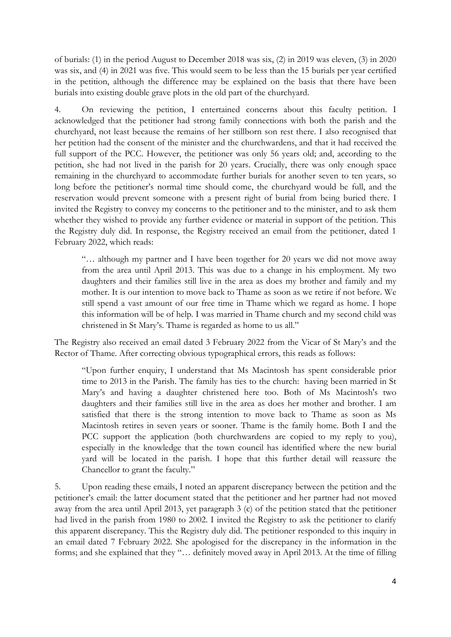of burials: (1) in the period August to December 2018 was six, (2) in 2019 was eleven, (3) in 2020 was six, and (4) in 2021 was five. This would seem to be less than the 15 burials per year certified in the petition, although the difference may be explained on the basis that there have been burials into existing double grave plots in the old part of the churchyard.

4. On reviewing the petition, I entertained concerns about this faculty petition. I acknowledged that the petitioner had strong family connections with both the parish and the churchyard, not least because the remains of her stillborn son rest there. I also recognised that her petition had the consent of the minister and the churchwardens, and that it had received the full support of the PCC. However, the petitioner was only 56 years old; and, according to the petition, she had not lived in the parish for 20 years. Crucially, there was only enough space remaining in the churchyard to accommodate further burials for another seven to ten years, so long before the petitioner's normal time should come, the churchyard would be full, and the reservation would prevent someone with a present right of burial from being buried there. I invited the Registry to convey my concerns to the petitioner and to the minister, and to ask them whether they wished to provide any further evidence or material in support of the petition. This the Registry duly did. In response, the Registry received an email from the petitioner, dated 1 February 2022, which reads:

"… although my partner and I have been together for 20 years we did not move away from the area until April 2013. This was due to a change in his employment. My two daughters and their families still live in the area as does my brother and family and my mother. It is our intention to move back to Thame as soon as we retire if not before. We still spend a vast amount of our free time in Thame which we regard as home. I hope this information will be of help. I was married in Thame church and my second child was christened in St Mary's. Thame is regarded as home to us all."

The Registry also received an email dated 3 February 2022 from the Vicar of St Mary's and the Rector of Thame. After correcting obvious typographical errors, this reads as follows:

"Upon further enquiry, I understand that Ms Macintosh has spent considerable prior time to 2013 in the Parish. The family has ties to the church: having been married in St Mary's and having a daughter christened here too. Both of Ms Macintosh's two daughters and their families still live in the area as does her mother and brother. I am satisfied that there is the strong intention to move back to Thame as soon as Ms Macintosh retires in seven years or sooner. Thame is the family home. Both I and the PCC support the application (both churchwardens are copied to my reply to you), especially in the knowledge that the town council has identified where the new burial yard will be located in the parish. I hope that this further detail will reassure the Chancellor to grant the faculty."

5. Upon reading these emails, I noted an apparent discrepancy between the petition and the petitioner's email: the latter document stated that the petitioner and her partner had not moved away from the area until April 2013, yet paragraph 3 (c) of the petition stated that the petitioner had lived in the parish from 1980 to 2002. I invited the Registry to ask the petitioner to clarify this apparent discrepancy. This the Registry duly did. The petitioner responded to this inquiry in an email dated 7 February 2022. She apologised for the discrepancy in the information in the forms; and she explained that they "… definitely moved away in April 2013. At the time of filling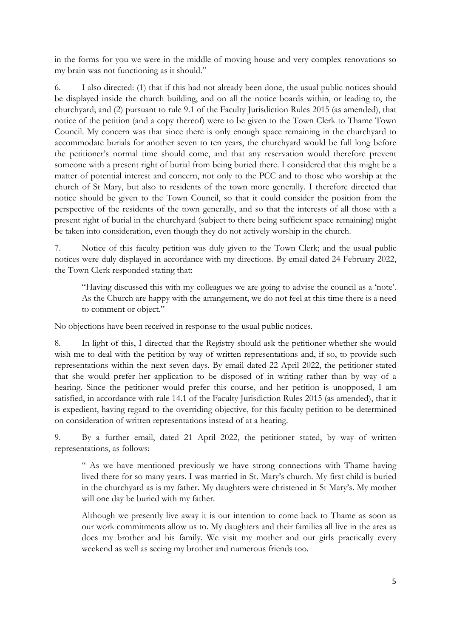in the forms for you we were in the middle of moving house and very complex renovations so my brain was not functioning as it should."

6. I also directed: (1) that if this had not already been done, the usual public notices should be displayed inside the church building, and on all the notice boards within, or leading to, the churchyard; and (2) pursuant to rule 9.1 of the Faculty Jurisdiction Rules 2015 (as amended), that notice of the petition (and a copy thereof) were to be given to the Town Clerk to Thame Town Council. My concern was that since there is only enough space remaining in the churchyard to accommodate burials for another seven to ten years, the churchyard would be full long before the petitioner's normal time should come, and that any reservation would therefore prevent someone with a present right of burial from being buried there. I considered that this might be a matter of potential interest and concern, not only to the PCC and to those who worship at the church of St Mary, but also to residents of the town more generally. I therefore directed that notice should be given to the Town Council, so that it could consider the position from the perspective of the residents of the town generally, and so that the interests of all those with a present right of burial in the churchyard (subject to there being sufficient space remaining) might be taken into consideration, even though they do not actively worship in the church.

7. Notice of this faculty petition was duly given to the Town Clerk; and the usual public notices were duly displayed in accordance with my directions. By email dated 24 February 2022, the Town Clerk responded stating that:

"Having discussed this with my colleagues we are going to advise the council as a 'note'. As the Church are happy with the arrangement, we do not feel at this time there is a need to comment or object."

No objections have been received in response to the usual public notices.

8. In light of this, I directed that the Registry should ask the petitioner whether she would wish me to deal with the petition by way of written representations and, if so, to provide such representations within the next seven days. By email dated 22 April 2022, the petitioner stated that she would prefer her application to be disposed of in writing rather than by way of a hearing. Since the petitioner would prefer this course, and her petition is unopposed, I am satisfied, in accordance with rule 14.1 of the Faculty Jurisdiction Rules 2015 (as amended), that it is expedient, having regard to the overriding objective, for this faculty petition to be determined on consideration of written representations instead of at a hearing.

9. By a further email, dated 21 April 2022, the petitioner stated, by way of written representations, as follows:

" As we have mentioned previously we have strong connections with Thame having lived there for so many years. I was married in St. Mary's church. My first child is buried in the churchyard as is my father. My daughters were christened in St Mary's. My mother will one day be buried with my father.

Although we presently live away it is our intention to come back to Thame as soon as our work commitments allow us to. My daughters and their families all live in the area as does my brother and his family. We visit my mother and our girls practically every weekend as well as seeing my brother and numerous friends too.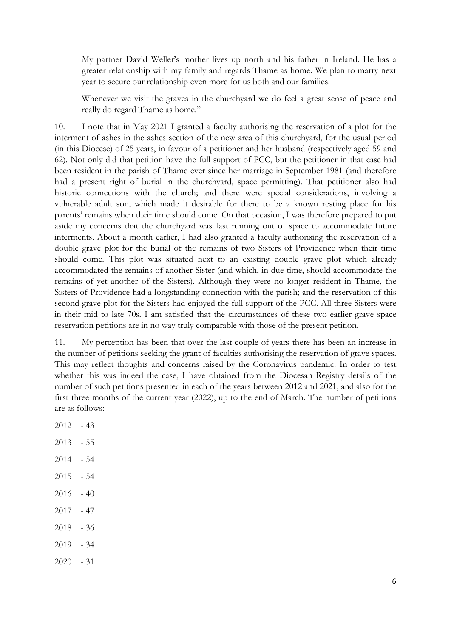My partner David Weller's mother lives up north and his father in Ireland. He has a greater relationship with my family and regards Thame as home. We plan to marry next year to secure our relationship even more for us both and our families.

Whenever we visit the graves in the churchyard we do feel a great sense of peace and really do regard Thame as home."

10. I note that in May 2021 I granted a faculty authorising the reservation of a plot for the interment of ashes in the ashes section of the new area of this churchyard, for the usual period (in this Diocese) of 25 years, in favour of a petitioner and her husband (respectively aged 59 and 62). Not only did that petition have the full support of PCC, but the petitioner in that case had been resident in the parish of Thame ever since her marriage in September 1981 (and therefore had a present right of burial in the churchyard, space permitting). That petitioner also had historic connections with the church; and there were special considerations, involving a vulnerable adult son, which made it desirable for there to be a known resting place for his parents' remains when their time should come. On that occasion, I was therefore prepared to put aside my concerns that the churchyard was fast running out of space to accommodate future interments. About a month earlier, I had also granted a faculty authorising the reservation of a double grave plot for the burial of the remains of two Sisters of Providence when their time should come. This plot was situated next to an existing double grave plot which already accommodated the remains of another Sister (and which, in due time, should accommodate the remains of yet another of the Sisters). Although they were no longer resident in Thame, the Sisters of Providence had a longstanding connection with the parish; and the reservation of this second grave plot for the Sisters had enjoyed the full support of the PCC. All three Sisters were in their mid to late 70s. I am satisfied that the circumstances of these two earlier grave space reservation petitions are in no way truly comparable with those of the present petition.

11. My perception has been that over the last couple of years there has been an increase in the number of petitions seeking the grant of faculties authorising the reservation of grave spaces. This may reflect thoughts and concerns raised by the Coronavirus pandemic. In order to test whether this was indeed the case, I have obtained from the Diocesan Registry details of the number of such petitions presented in each of the years between 2012 and 2021, and also for the first three months of the current year (2022), up to the end of March. The number of petitions are as follows:

- 2012 43
- 2013 55
- 2014 54
- $2015 54$
- $2016 40$
- 2017 47
- 2018 36
- 2019 34
- 2020 31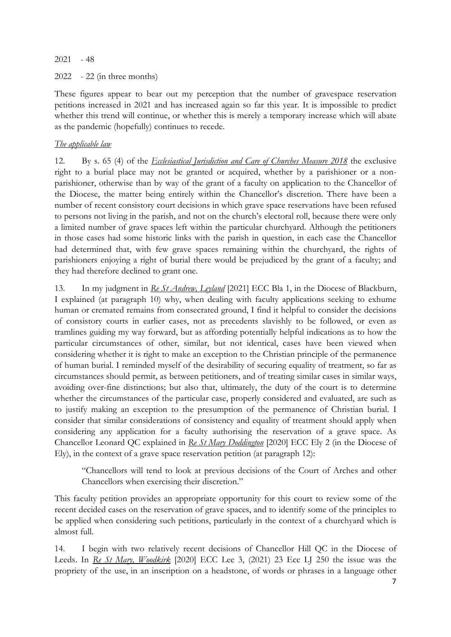2021 - 48

2022 - 22 (in three months)

These figures appear to bear out my perception that the number of gravespace reservation petitions increased in 2021 and has increased again so far this year. It is impossible to predict whether this trend will continue, or whether this is merely a temporary increase which will abate as the pandemic (hopefully) continues to recede.

## *The applicable law*

12. By s. 65 (4) of the *Ecclesiastical Jurisdiction and Care of Churches Measure 2018* the exclusive right to a burial place may not be granted or acquired, whether by a parishioner or a nonparishioner, otherwise than by way of the grant of a faculty on application to the Chancellor of the Diocese, the matter being entirely within the Chancellor's discretion. There have been a number of recent consistory court decisions in which grave space reservations have been refused to persons not living in the parish, and not on the church's electoral roll, because there were only a limited number of grave spaces left within the particular churchyard. Although the petitioners in those cases had some historic links with the parish in question, in each case the Chancellor had determined that, with few grave spaces remaining within the churchyard, the rights of parishioners enjoying a right of burial there would be prejudiced by the grant of a faculty; and they had therefore declined to grant one.

13. In my judgment in *Re St Andrew, Leyland* [2021] ECC Bla 1, in the Diocese of Blackburn, I explained (at paragraph 10) why, when dealing with faculty applications seeking to exhume human or cremated remains from consecrated ground, I find it helpful to consider the decisions of consistory courts in earlier cases, not as precedents slavishly to be followed, or even as tramlines guiding my way forward, but as affording potentially helpful indications as to how the particular circumstances of other, similar, but not identical, cases have been viewed when considering whether it is right to make an exception to the Christian principle of the permanence of human burial. I reminded myself of the desirability of securing equality of treatment, so far as circumstances should permit, as between petitioners, and of treating similar cases in similar ways, avoiding over-fine distinctions; but also that, ultimately, the duty of the court is to determine whether the circumstances of the particular case, properly considered and evaluated, are such as to justify making an exception to the presumption of the permanence of Christian burial. I consider that similar considerations of consistency and equality of treatment should apply when considering any application for a faculty authorising the reservation of a grave space. As Chancellor Leonard QC explained in *Re St Mary Doddington* [2020] ECC Ely 2 (in the Diocese of Ely), in the context of a grave space reservation petition (at paragraph 12):

"Chancellors will tend to look at previous decisions of the Court of Arches and other Chancellors when exercising their discretion."

This faculty petition provides an appropriate opportunity for this court to review some of the recent decided cases on the reservation of grave spaces, and to identify some of the principles to be applied when considering such petitions, particularly in the context of a churchyard which is almost full.

14. I begin with two relatively recent decisions of Chancellor Hill QC in the Diocese of Leeds. In *Re St Mary, Woodkirk* [2020] ECC Lee 3, (2021) 23 Ecc LJ 250 the issue was the propriety of the use, in an inscription on a headstone, of words or phrases in a language other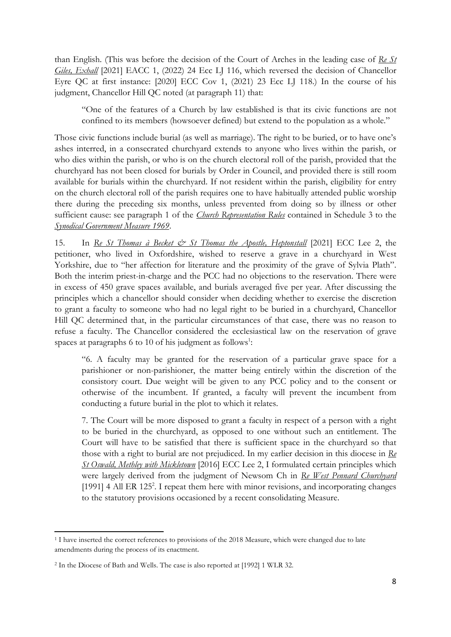than English. (This was before the decision of the Court of Arches in the leading case of *Re St Giles, Exhall* [2021] EACC 1, (2022) 24 Ecc LJ 116, which reversed the decision of Chancellor Eyre QC at first instance: [2020] ECC Cov 1, (2021) 23 Ecc LJ 118.) In the course of his judgment, Chancellor Hill QC noted (at paragraph 11) that:

"One of the features of a Church by law established is that its civic functions are not confined to its members (howsoever defined) but extend to the population as a whole."

Those civic functions include burial (as well as marriage). The right to be buried, or to have one's ashes interred, in a consecrated churchyard extends to anyone who lives within the parish, or who dies within the parish, or who is on the church electoral roll of the parish, provided that the churchyard has not been closed for burials by Order in Council, and provided there is still room available for burials within the churchyard. If not resident within the parish, eligibility for entry on the church electoral roll of the parish requires one to have habitually attended public worship there during the preceding six months, unless prevented from doing so by illness or other sufficient cause: see paragraph 1 of the *Church Representation Rules* contained in Schedule 3 to the *Synodical Government Measure 1969*.

15. In *Re St Thomas à Becket & St Thomas the Apostle, Heptonstall* [2021] ECC Lee 2, the petitioner, who lived in Oxfordshire, wished to reserve a grave in a churchyard in West Yorkshire, due to "her affection for literature and the proximity of the grave of Sylvia Plath". Both the interim priest-in-charge and the PCC had no objections to the reservation. There were in excess of 450 grave spaces available, and burials averaged five per year. After discussing the principles which a chancellor should consider when deciding whether to exercise the discretion to grant a faculty to someone who had no legal right to be buried in a churchyard, Chancellor Hill QC determined that, in the particular circumstances of that case, there was no reason to refuse a faculty. The Chancellor considered the ecclesiastical law on the reservation of grave spaces at paragraphs 6 to 10 of his judgment as follows<sup>1</sup>:

"6. A faculty may be granted for the reservation of a particular grave space for a parishioner or non-parishioner, the matter being entirely within the discretion of the consistory court. Due weight will be given to any PCC policy and to the consent or otherwise of the incumbent. If granted, a faculty will prevent the incumbent from conducting a future burial in the plot to which it relates.

7. The Court will be more disposed to grant a faculty in respect of a person with a right to be buried in the churchyard, as opposed to one without such an entitlement. The Court will have to be satisfied that there is sufficient space in the churchyard so that those with a right to burial are not prejudiced. In my earlier decision in this diocese in *Re St Oswald, Methley with Mickletown* [2016] ECC Lee 2, I formulated certain principles which were largely derived from the judgment of Newsom Ch in *Re West Pennard Churchyard* [1991] 4 All ER 125<sup>2</sup>. I repeat them here with minor revisions, and incorporating changes to the statutory provisions occasioned by a recent consolidating Measure.

<sup>&</sup>lt;sup>1</sup> I have inserted the correct references to provisions of the 2018 Measure, which were changed due to late amendments during the process of its enactment.

<sup>2</sup> In the Diocese of Bath and Wells. The case is also reported at [1992] 1 WLR 32.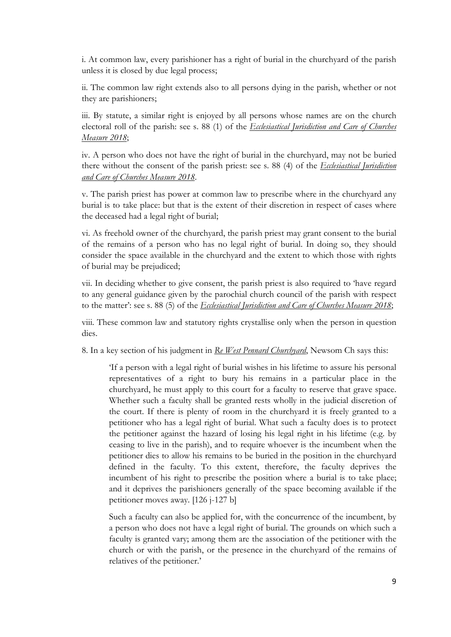i. At common law, every parishioner has a right of burial in the churchyard of the parish unless it is closed by due legal process;

ii. The common law right extends also to all persons dying in the parish, whether or not they are parishioners;

iii. By statute, a similar right is enjoyed by all persons whose names are on the church electoral roll of the parish: see s. 88 (1) of the *Ecclesiastical Jurisdiction and Care of Churches Measure 2018*;

iv. A person who does not have the right of burial in the churchyard, may not be buried there without the consent of the parish priest: see s. 88 (4) of the *Ecclesiastical Jurisdiction and Care of Churches Measure 2018*.

v. The parish priest has power at common law to prescribe where in the churchyard any burial is to take place: but that is the extent of their discretion in respect of cases where the deceased had a legal right of burial;

vi. As freehold owner of the churchyard, the parish priest may grant consent to the burial of the remains of a person who has no legal right of burial. In doing so, they should consider the space available in the churchyard and the extent to which those with rights of burial may be prejudiced;

vii. In deciding whether to give consent, the parish priest is also required to 'have regard to any general guidance given by the parochial church council of the parish with respect to the matter': see s. 88 (5) of the *Ecclesiastical Jurisdiction and Care of Churches Measure 2018*;

viii. These common law and statutory rights crystallise only when the person in question dies.

8. In a key section of his judgment in *Re West Pennard Churchyard*, Newsom Ch says this:

'If a person with a legal right of burial wishes in his lifetime to assure his personal representatives of a right to bury his remains in a particular place in the churchyard, he must apply to this court for a faculty to reserve that grave space. Whether such a faculty shall be granted rests wholly in the judicial discretion of the court. If there is plenty of room in the churchyard it is freely granted to a petitioner who has a legal right of burial. What such a faculty does is to protect the petitioner against the hazard of losing his legal right in his lifetime (e.g. by ceasing to live in the parish), and to require whoever is the incumbent when the petitioner dies to allow his remains to be buried in the position in the churchyard defined in the faculty. To this extent, therefore, the faculty deprives the incumbent of his right to prescribe the position where a burial is to take place; and it deprives the parishioners generally of the space becoming available if the petitioner moves away. [126 j-127 b]

Such a faculty can also be applied for, with the concurrence of the incumbent, by a person who does not have a legal right of burial. The grounds on which such a faculty is granted vary; among them are the association of the petitioner with the church or with the parish, or the presence in the churchyard of the remains of relatives of the petitioner.'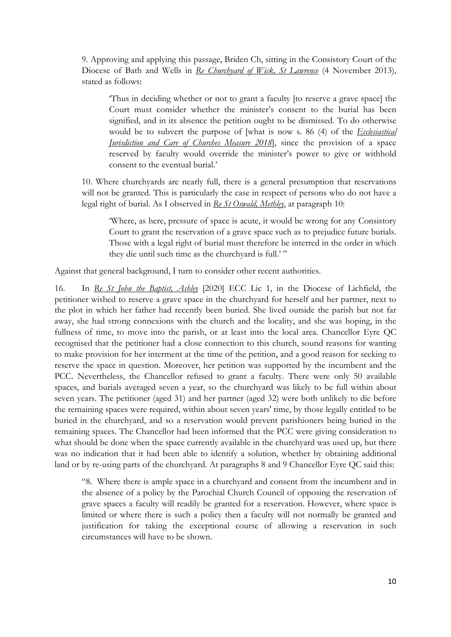9. Approving and applying this passage, Briden Ch, sitting in the Consistory Court of the Diocese of Bath and Wells in *Re Churchyard of Wick, St Lawrence* (4 November 2013), stated as follows:

'Thus in deciding whether or not to grant a faculty [to reserve a grave space] the Court must consider whether the minister's consent to the burial has been signified, and in its absence the petition ought to be dismissed. To do otherwise would be to subvert the purpose of [what is now s. 86 (4) of the *Ecclesiastical <u>Iurisdiction and Care of Churches Measure 2018</u>, since the provision of a space* reserved by faculty would override the minister's power to give or withhold consent to the eventual burial.'

10. Where churchyards are nearly full, there is a general presumption that reservations will not be granted. This is particularly the case in respect of persons who do not have a legal right of burial. As I observed in *Re St Oswald, Methley*, at paragraph 10:

'Where, as here, pressure of space is acute, it would be wrong for any Consistory Court to grant the reservation of a grave space such as to prejudice future burials. Those with a legal right of burial must therefore be interred in the order in which they die until such time as the churchyard is full.' "

Against that general background, I turn to consider other recent authorities.

16. In *Re St John the Baptist, Ashley* [2020] ECC Lic 1, in the Diocese of Lichfield, the petitioner wished to reserve a grave space in the churchyard for herself and her partner, next to the plot in which her father had recently been buried. She lived outside the parish but not far away, she had strong connexions with the church and the locality, and she was hoping, in the fullness of time, to move into the parish, or at least into the local area. Chancellor Eyre QC recognised that the petitioner had a close connection to this church, sound reasons for wanting to make provision for her interment at the time of the petition, and a good reason for seeking to reserve the space in question. Moreover, her petition was supported by the incumbent and the PCC. Nevertheless, the Chancellor refused to grant a faculty. There were only 50 available spaces, and burials averaged seven a year, so the churchyard was likely to be full within about seven years. The petitioner (aged 31) and her partner (aged 32) were both unlikely to die before the remaining spaces were required, within about seven years' time, by those legally entitled to be buried in the churchyard, and so a reservation would prevent parishioners being buried in the remaining spaces. The Chancellor had been informed that the PCC were giving consideration to what should be done when the space currently available in the churchyard was used up, but there was no indication that it had been able to identify a solution, whether by obtaining additional land or by re-using parts of the churchyard. At paragraphs 8 and 9 Chancellor Eyre QC said this:

"8. Where there is ample space in a churchyard and consent from the incumbent and in the absence of a policy by the Parochial Church Council of opposing the reservation of grave spaces a faculty will readily be granted for a reservation. However, where space is limited or where there is such a policy then a faculty will not normally be granted and justification for taking the exceptional course of allowing a reservation in such circumstances will have to be shown.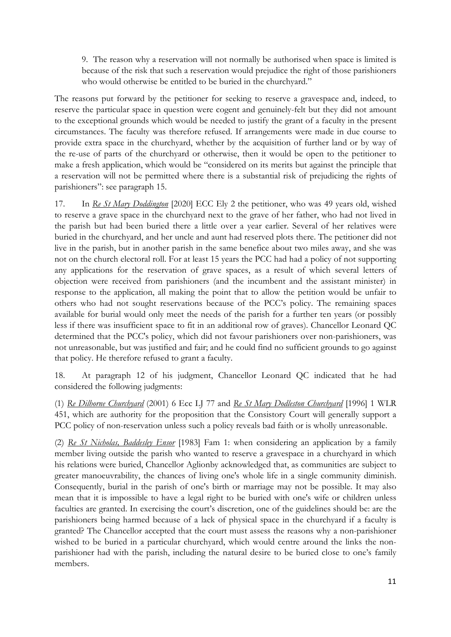9. The reason why a reservation will not normally be authorised when space is limited is because of the risk that such a reservation would prejudice the right of those parishioners who would otherwise be entitled to be buried in the churchyard."

The reasons put forward by the petitioner for seeking to reserve a gravespace and, indeed, to reserve the particular space in question were cogent and genuinely-felt but they did not amount to the exceptional grounds which would be needed to justify the grant of a faculty in the present circumstances. The faculty was therefore refused. If arrangements were made in due course to provide extra space in the churchyard, whether by the acquisition of further land or by way of the re-use of parts of the churchyard or otherwise, then it would be open to the petitioner to make a fresh application, which would be "considered on its merits but against the principle that a reservation will not be permitted where there is a substantial risk of prejudicing the rights of parishioners": see paragraph 15.

17. In *Re St Mary Doddington* [2020] ECC Ely 2 the petitioner, who was 49 years old, wished to reserve a grave space in the churchyard next to the grave of her father, who had not lived in the parish but had been buried there a little over a year earlier. Several of her relatives were buried in the churchyard, and her uncle and aunt had reserved plots there. The petitioner did not live in the parish, but in another parish in the same benefice about two miles away, and she was not on the church electoral roll. For at least 15 years the PCC had had a policy of not supporting any applications for the reservation of grave spaces, as a result of which several letters of objection were received from parishioners (and the incumbent and the assistant minister) in response to the application, all making the point that to allow the petition would be unfair to others who had not sought reservations because of the PCC's policy. The remaining spaces available for burial would only meet the needs of the parish for a further ten years (or possibly less if there was insufficient space to fit in an additional row of graves). Chancellor Leonard QC determined that the PCC's policy, which did not favour parishioners over non-parishioners, was not unreasonable, but was justified and fair; and he could find no sufficient grounds to go against that policy. He therefore refused to grant a faculty.

18. At paragraph 12 of his judgment, Chancellor Leonard QC indicated that he had considered the following judgments:

(1) *Re Dilhorne Churchyard* (2001) 6 Ecc LJ 77 and *Re St Mary Dodleston Churchyard* [1996] 1 WLR 451, which are authority for the proposition that the Consistory Court will generally support a PCC policy of non-reservation unless such a policy reveals bad faith or is wholly unreasonable.

(2) *Re St Nicholas, Baddesley Ensor* [1983] Fam 1: when considering an application by a family member living outside the parish who wanted to reserve a gravespace in a churchyard in which his relations were buried, Chancellor Aglionby acknowledged that, as communities are subject to greater manoeuvrability, the chances of living one's whole life in a single community diminish. Consequently, burial in the parish of one's birth or marriage may not be possible. It may also mean that it is impossible to have a legal right to be buried with one's wife or children unless faculties are granted. In exercising the court's discretion, one of the guidelines should be: are the parishioners being harmed because of a lack of physical space in the churchyard if a faculty is granted? The Chancellor accepted that the court must assess the reasons why a non-parishioner wished to be buried in a particular churchyard, which would centre around the links the nonparishioner had with the parish, including the natural desire to be buried close to one's family members.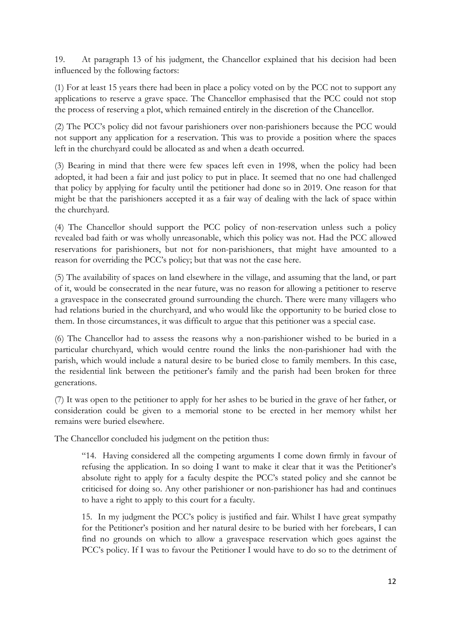19. At paragraph 13 of his judgment, the Chancellor explained that his decision had been influenced by the following factors:

(1) For at least 15 years there had been in place a policy voted on by the PCC not to support any applications to reserve a grave space. The Chancellor emphasised that the PCC could not stop the process of reserving a plot, which remained entirely in the discretion of the Chancellor.

(2) The PCC's policy did not favour parishioners over non-parishioners because the PCC would not support any application for a reservation. This was to provide a position where the spaces left in the churchyard could be allocated as and when a death occurred.

(3) Bearing in mind that there were few spaces left even in 1998, when the policy had been adopted, it had been a fair and just policy to put in place. It seemed that no one had challenged that policy by applying for faculty until the petitioner had done so in 2019. One reason for that might be that the parishioners accepted it as a fair way of dealing with the lack of space within the churchyard.

(4) The Chancellor should support the PCC policy of non-reservation unless such a policy revealed bad faith or was wholly unreasonable, which this policy was not. Had the PCC allowed reservations for parishioners, but not for non-parishioners, that might have amounted to a reason for overriding the PCC's policy; but that was not the case here.

(5) The availability of spaces on land elsewhere in the village, and assuming that the land, or part of it, would be consecrated in the near future, was no reason for allowing a petitioner to reserve a gravespace in the consecrated ground surrounding the church. There were many villagers who had relations buried in the churchyard, and who would like the opportunity to be buried close to them. In those circumstances, it was difficult to argue that this petitioner was a special case.

(6) The Chancellor had to assess the reasons why a non-parishioner wished to be buried in a particular churchyard, which would centre round the links the non-parishioner had with the parish, which would include a natural desire to be buried close to family members. In this case, the residential link between the petitioner's family and the parish had been broken for three generations.

(7) It was open to the petitioner to apply for her ashes to be buried in the grave of her father, or consideration could be given to a memorial stone to be erected in her memory whilst her remains were buried elsewhere.

The Chancellor concluded his judgment on the petition thus:

"14. Having considered all the competing arguments I come down firmly in favour of refusing the application. In so doing I want to make it clear that it was the Petitioner's absolute right to apply for a faculty despite the PCC's stated policy and she cannot be criticised for doing so. Any other parishioner or non-parishioner has had and continues to have a right to apply to this court for a faculty.

15. In my judgment the PCC's policy is justified and fair. Whilst I have great sympathy for the Petitioner's position and her natural desire to be buried with her forebears, I can find no grounds on which to allow a gravespace reservation which goes against the PCC's policy. If I was to favour the Petitioner I would have to do so to the detriment of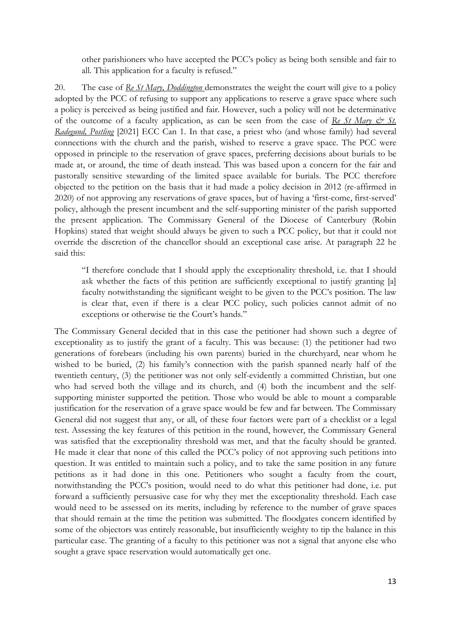other parishioners who have accepted the PCC's policy as being both sensible and fair to all. This application for a faculty is refused."

20. The case of *Re St Mary, Doddington* demonstrates the weight the court will give to a policy adopted by the PCC of refusing to support any applications to reserve a grave space where such a policy is perceived as being justified and fair. However, such a policy will not be determinative of the outcome of a faculty application, as can be seen from the case of *Re St Mary & St. Radegund, Postling* [2021] ECC Can 1. In that case, a priest who (and whose family) had several connections with the church and the parish, wished to reserve a grave space. The PCC were opposed in principle to the reservation of grave spaces, preferring decisions about burials to be made at, or around, the time of death instead. This was based upon a concern for the fair and pastorally sensitive stewarding of the limited space available for burials. The PCC therefore objected to the petition on the basis that it had made a policy decision in 2012 (re-affirmed in 2020) of not approving any reservations of grave spaces, but of having a 'first-come, first-served' policy, although the present incumbent and the self-supporting minister of the parish supported the present application. The Commissary General of the Diocese of Canterbury (Robin Hopkins) stated that weight should always be given to such a PCC policy, but that it could not override the discretion of the chancellor should an exceptional case arise. At paragraph 22 he said this:

"I therefore conclude that I should apply the exceptionality threshold, i.e. that I should ask whether the facts of this petition are sufficiently exceptional to justify granting [a] faculty notwithstanding the significant weight to be given to the PCC's position. The law is clear that, even if there is a clear PCC policy, such policies cannot admit of no exceptions or otherwise tie the Court's hands."

The Commissary General decided that in this case the petitioner had shown such a degree of exceptionality as to justify the grant of a faculty. This was because: (1) the petitioner had two generations of forebears (including his own parents) buried in the churchyard, near whom he wished to be buried, (2) his family's connection with the parish spanned nearly half of the twentieth century, (3) the petitioner was not only self-evidently a committed Christian, but one who had served both the village and its church, and (4) both the incumbent and the selfsupporting minister supported the petition. Those who would be able to mount a comparable justification for the reservation of a grave space would be few and far between. The Commissary General did not suggest that any, or all, of these four factors were part of a checklist or a legal test. Assessing the key features of this petition in the round, however, the Commissary General was satisfied that the exceptionality threshold was met, and that the faculty should be granted. He made it clear that none of this called the PCC's policy of not approving such petitions into question. It was entitled to maintain such a policy, and to take the same position in any future petitions as it had done in this one. Petitioners who sought a faculty from the court, notwithstanding the PCC's position, would need to do what this petitioner had done, i.e. put forward a sufficiently persuasive case for why they met the exceptionality threshold. Each case would need to be assessed on its merits, including by reference to the number of grave spaces that should remain at the time the petition was submitted. The floodgates concern identified by some of the objectors was entirely reasonable, but insufficiently weighty to tip the balance in this particular case. The granting of a faculty to this petitioner was not a signal that anyone else who sought a grave space reservation would automatically get one.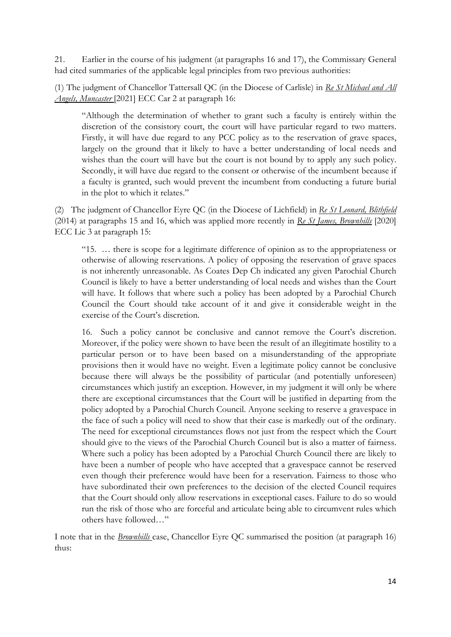21. Earlier in the course of his judgment (at paragraphs 16 and 17), the Commissary General had cited summaries of the applicable legal principles from two previous authorities:

(1) The judgment of Chancellor Tattersall QC (in the Diocese of Carlisle) in *Re St Michael and All Angels, Muncaster* [2021] ECC Car 2 at paragraph 16:

"Although the determination of whether to grant such a faculty is entirely within the discretion of the consistory court, the court will have particular regard to two matters. Firstly, it will have due regard to any PCC policy as to the reservation of grave spaces, largely on the ground that it likely to have a better understanding of local needs and wishes than the court will have but the court is not bound by to apply any such policy. Secondly, it will have due regard to the consent or otherwise of the incumbent because if a faculty is granted, such would prevent the incumbent from conducting a future burial in the plot to which it relates."

(2) The judgment of Chancellor Eyre QC (in the Diocese of Lichfield) in *Re St Leonard, Blithfield* (2014) at paragraphs 15 and 16, which was applied more recently in *Re St James, Brownhills* [2020] ECC Lic 3 at paragraph 15:

"15. … there is scope for a legitimate difference of opinion as to the appropriateness or otherwise of allowing reservations. A policy of opposing the reservation of grave spaces is not inherently unreasonable. As Coates Dep Ch indicated any given Parochial Church Council is likely to have a better understanding of local needs and wishes than the Court will have. It follows that where such a policy has been adopted by a Parochial Church Council the Court should take account of it and give it considerable weight in the exercise of the Court's discretion.

16. Such a policy cannot be conclusive and cannot remove the Court's discretion. Moreover, if the policy were shown to have been the result of an illegitimate hostility to a particular person or to have been based on a misunderstanding of the appropriate provisions then it would have no weight. Even a legitimate policy cannot be conclusive because there will always be the possibility of particular (and potentially unforeseen) circumstances which justify an exception. However, in my judgment it will only be where there are exceptional circumstances that the Court will be justified in departing from the policy adopted by a Parochial Church Council. Anyone seeking to reserve a gravespace in the face of such a policy will need to show that their case is markedly out of the ordinary. The need for exceptional circumstances flows not just from the respect which the Court should give to the views of the Parochial Church Council but is also a matter of fairness. Where such a policy has been adopted by a Parochial Church Council there are likely to have been a number of people who have accepted that a gravespace cannot be reserved even though their preference would have been for a reservation. Fairness to those who have subordinated their own preferences to the decision of the elected Council requires that the Court should only allow reservations in exceptional cases. Failure to do so would run the risk of those who are forceful and articulate being able to circumvent rules which others have followed…"

I note that in the *Brownhills* case, Chancellor Eyre QC summarised the position (at paragraph 16) thus: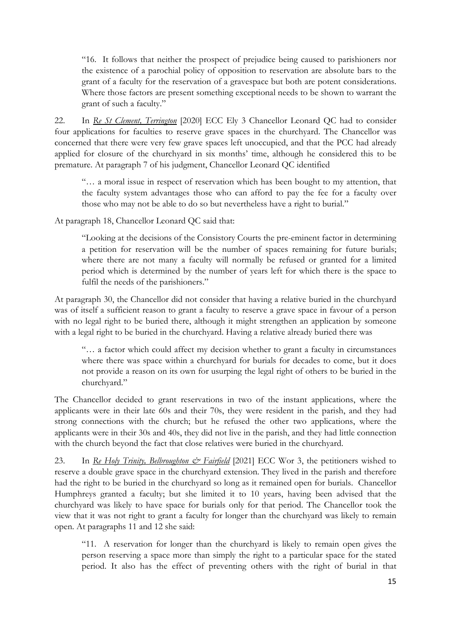"16. It follows that neither the prospect of prejudice being caused to parishioners nor the existence of a parochial policy of opposition to reservation are absolute bars to the grant of a faculty for the reservation of a gravespace but both are potent considerations. Where those factors are present something exceptional needs to be shown to warrant the grant of such a faculty."

22. In *Re St Clement, Terrington* [2020] ECC Ely 3 Chancellor Leonard QC had to consider four applications for faculties to reserve grave spaces in the churchyard. The Chancellor was concerned that there were very few grave spaces left unoccupied, and that the PCC had already applied for closure of the churchyard in six months' time, although he considered this to be premature. At paragraph 7 of his judgment, Chancellor Leonard QC identified

"… a moral issue in respect of reservation which has been bought to my attention, that the faculty system advantages those who can afford to pay the fee for a faculty over those who may not be able to do so but nevertheless have a right to burial."

At paragraph 18, Chancellor Leonard QC said that:

"Looking at the decisions of the Consistory Courts the pre-eminent factor in determining a petition for reservation will be the number of spaces remaining for future burials; where there are not many a faculty will normally be refused or granted for a limited period which is determined by the number of years left for which there is the space to fulfil the needs of the parishioners."

At paragraph 30, the Chancellor did not consider that having a relative buried in the churchyard was of itself a sufficient reason to grant a faculty to reserve a grave space in favour of a person with no legal right to be buried there, although it might strengthen an application by someone with a legal right to be buried in the churchyard. Having a relative already buried there was

"… a factor which could affect my decision whether to grant a faculty in circumstances where there was space within a churchyard for burials for decades to come, but it does not provide a reason on its own for usurping the legal right of others to be buried in the churchyard."

The Chancellor decided to grant reservations in two of the instant applications, where the applicants were in their late 60s and their 70s, they were resident in the parish, and they had strong connections with the church; but he refused the other two applications, where the applicants were in their 30s and 40s, they did not live in the parish, and they had little connection with the church beyond the fact that close relatives were buried in the churchyard.

23. In *Re Holy Trinity, Belbroughton*  $\mathcal{O}$  *Fairfield* [2021] ECC Wor 3, the petitioners wished to reserve a double grave space in the churchyard extension. They lived in the parish and therefore had the right to be buried in the churchyard so long as it remained open for burials. Chancellor Humphreys granted a faculty; but she limited it to 10 years, having been advised that the churchyard was likely to have space for burials only for that period. The Chancellor took the view that it was not right to grant a faculty for longer than the churchyard was likely to remain open. At paragraphs 11 and 12 she said:

"11. A reservation for longer than the churchyard is likely to remain open gives the person reserving a space more than simply the right to a particular space for the stated period. It also has the effect of preventing others with the right of burial in that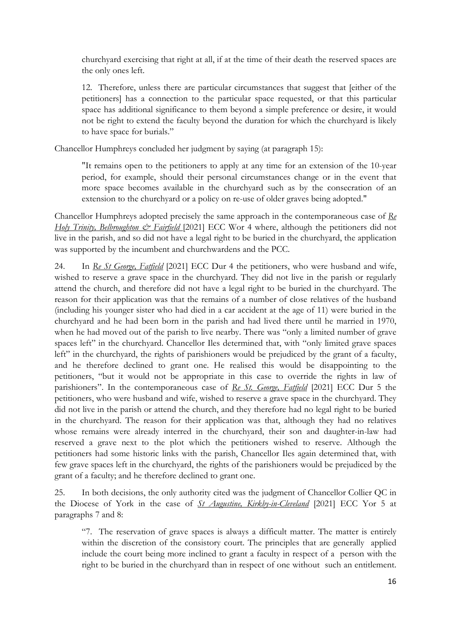churchyard exercising that right at all, if at the time of their death the reserved spaces are the only ones left.

12. Therefore, unless there are particular circumstances that suggest that [either of the petitioners] has a connection to the particular space requested, or that this particular space has additional significance to them beyond a simple preference or desire, it would not be right to extend the faculty beyond the duration for which the churchyard is likely to have space for burials."

Chancellor Humphreys concluded her judgment by saying (at paragraph 15):

"It remains open to the petitioners to apply at any time for an extension of the 10-year period, for example, should their personal circumstances change or in the event that more space becomes available in the churchyard such as by the consecration of an extension to the churchyard or a policy on re-use of older graves being adopted."

Chancellor Humphreys adopted precisely the same approach in the contemporaneous case of *Re Holy Trinity, Belbroughton & Fairfield* [2021] ECC Wor 4 where, although the petitioners did not live in the parish, and so did not have a legal right to be buried in the churchyard, the application was supported by the incumbent and churchwardens and the PCC.

24. In *Re St George, Fatfield* [2021] ECC Dur 4 the petitioners, who were husband and wife, wished to reserve a grave space in the churchyard. They did not live in the parish or regularly attend the church, and therefore did not have a legal right to be buried in the churchyard. The reason for their application was that the remains of a number of close relatives of the husband (including his younger sister who had died in a car accident at the age of 11) were buried in the churchyard and he had been born in the parish and had lived there until he married in 1970, when he had moved out of the parish to live nearby. There was "only a limited number of grave spaces left" in the churchyard. Chancellor Iles determined that, with "only limited grave spaces left" in the churchyard, the rights of parishioners would be prejudiced by the grant of a faculty, and he therefore declined to grant one. He realised this would be disappointing to the petitioners, "but it would not be appropriate in this case to override the rights in law of parishioners". In the contemporaneous case of *Re St. George, Fatfield* [2021] ECC Dur 5 the petitioners, who were husband and wife, wished to reserve a grave space in the churchyard. They did not live in the parish or attend the church, and they therefore had no legal right to be buried in the churchyard. The reason for their application was that, although they had no relatives whose remains were already interred in the churchyard, their son and daughter-in-law had reserved a grave next to the plot which the petitioners wished to reserve. Although the petitioners had some historic links with the parish, Chancellor Iles again determined that, with few grave spaces left in the churchyard, the rights of the parishioners would be prejudiced by the grant of a faculty; and he therefore declined to grant one.

25. In both decisions, the only authority cited was the judgment of Chancellor Collier QC in the Diocese of York in the case of *St Augustine, Kirkby-in-Cleveland* [2021] ECC Yor 5 at paragraphs 7 and 8:

"7. The reservation of grave spaces is always a difficult matter. The matter is entirely within the discretion of the consistory court. The principles that are generally applied include the court being more inclined to grant a faculty in respect of a person with the right to be buried in the churchyard than in respect of one without such an entitlement.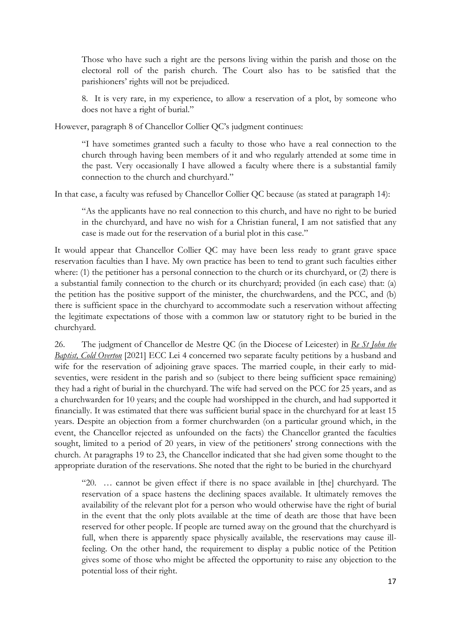Those who have such a right are the persons living within the parish and those on the electoral roll of the parish church. The Court also has to be satisfied that the parishioners' rights will not be prejudiced.

8. It is very rare, in my experience, to allow a reservation of a plot, by someone who does not have a right of burial."

However, paragraph 8 of Chancellor Collier QC's judgment continues:

"I have sometimes granted such a faculty to those who have a real connection to the church through having been members of it and who regularly attended at some time in the past. Very occasionally I have allowed a faculty where there is a substantial family connection to the church and churchyard."

In that case, a faculty was refused by Chancellor Collier QC because (as stated at paragraph 14):

"As the applicants have no real connection to this church, and have no right to be buried in the churchyard, and have no wish for a Christian funeral, I am not satisfied that any case is made out for the reservation of a burial plot in this case."

It would appear that Chancellor Collier QC may have been less ready to grant grave space reservation faculties than I have. My own practice has been to tend to grant such faculties either where: (1) the petitioner has a personal connection to the church or its churchyard, or (2) there is a substantial family connection to the church or its churchyard; provided (in each case) that: (a) the petition has the positive support of the minister, the churchwardens, and the PCC, and (b) there is sufficient space in the churchyard to accommodate such a reservation without affecting the legitimate expectations of those with a common law or statutory right to be buried in the churchyard.

26. The judgment of Chancellor de Mestre QC (in the Diocese of Leicester) in *Re St John the Baptist, Cold Overton* [2021] ECC Lei 4 concerned two separate faculty petitions by a husband and wife for the reservation of adjoining grave spaces. The married couple, in their early to midseventies, were resident in the parish and so (subject to there being sufficient space remaining) they had a right of burial in the churchyard. The wife had served on the PCC for 25 years, and as a churchwarden for 10 years; and the couple had worshipped in the church, and had supported it financially. It was estimated that there was sufficient burial space in the churchyard for at least 15 years. Despite an objection from a former churchwarden (on a particular ground which, in the event, the Chancellor rejected as unfounded on the facts) the Chancellor granted the faculties sought, limited to a period of 20 years, in view of the petitioners' strong connections with the church. At paragraphs 19 to 23, the Chancellor indicated that she had given some thought to the appropriate duration of the reservations. She noted that the right to be buried in the churchyard

"20. … cannot be given effect if there is no space available in [the] churchyard. The reservation of a space hastens the declining spaces available. It ultimately removes the availability of the relevant plot for a person who would otherwise have the right of burial in the event that the only plots available at the time of death are those that have been reserved for other people. If people are turned away on the ground that the churchyard is full, when there is apparently space physically available, the reservations may cause illfeeling. On the other hand, the requirement to display a public notice of the Petition gives some of those who might be affected the opportunity to raise any objection to the potential loss of their right.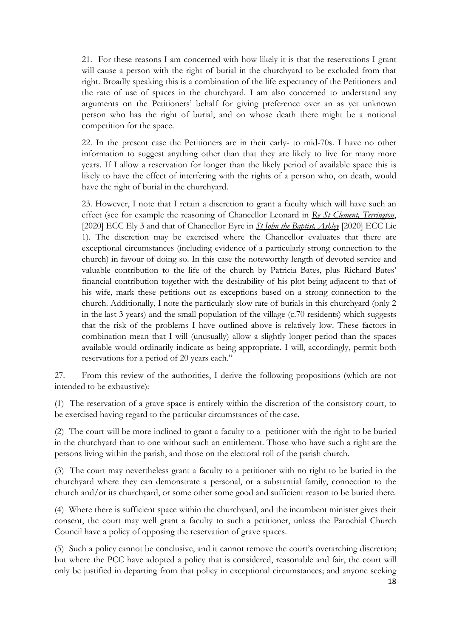21. For these reasons I am concerned with how likely it is that the reservations I grant will cause a person with the right of burial in the churchyard to be excluded from that right. Broadly speaking this is a combination of the life expectancy of the Petitioners and the rate of use of spaces in the churchyard. I am also concerned to understand any arguments on the Petitioners' behalf for giving preference over an as yet unknown person who has the right of burial, and on whose death there might be a notional competition for the space.

22. In the present case the Petitioners are in their early- to mid-70s. I have no other information to suggest anything other than that they are likely to live for many more years. If I allow a reservation for longer than the likely period of available space this is likely to have the effect of interfering with the rights of a person who, on death, would have the right of burial in the churchyard.

23. However, I note that I retain a discretion to grant a faculty which will have such an effect (see for example the reasoning of Chancellor Leonard in *Re St Clement, Terrington*, [2020] ECC Ely 3 and that of Chancellor Eyre in *St John the Baptist, Ashley* [2020] ECC Lic 1). The discretion may be exercised where the Chancellor evaluates that there are exceptional circumstances (including evidence of a particularly strong connection to the church) in favour of doing so. In this case the noteworthy length of devoted service and valuable contribution to the life of the church by Patricia Bates, plus Richard Bates' financial contribution together with the desirability of his plot being adjacent to that of his wife, mark these petitions out as exceptions based on a strong connection to the church. Additionally, I note the particularly slow rate of burials in this churchyard (only 2 in the last 3 years) and the small population of the village (c.70 residents) which suggests that the risk of the problems I have outlined above is relatively low. These factors in combination mean that I will (unusually) allow a slightly longer period than the spaces available would ordinarily indicate as being appropriate. I will, accordingly, permit both reservations for a period of 20 years each."

27. From this review of the authorities, I derive the following propositions (which are not intended to be exhaustive):

(1) The reservation of a grave space is entirely within the discretion of the consistory court, to be exercised having regard to the particular circumstances of the case.

(2) The court will be more inclined to grant a faculty to a petitioner with the right to be buried in the churchyard than to one without such an entitlement. Those who have such a right are the persons living within the parish, and those on the electoral roll of the parish church.

(3) The court may nevertheless grant a faculty to a petitioner with no right to be buried in the churchyard where they can demonstrate a personal, or a substantial family, connection to the church and/or its churchyard, or some other some good and sufficient reason to be buried there.

(4) Where there is sufficient space within the churchyard, and the incumbent minister gives their consent, the court may well grant a faculty to such a petitioner, unless the Parochial Church Council have a policy of opposing the reservation of grave spaces.

(5) Such a policy cannot be conclusive, and it cannot remove the court's overarching discretion; but where the PCC have adopted a policy that is considered, reasonable and fair, the court will only be justified in departing from that policy in exceptional circumstances; and anyone seeking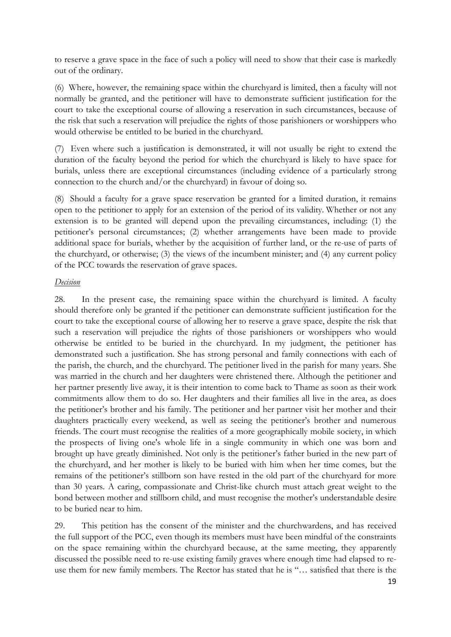to reserve a grave space in the face of such a policy will need to show that their case is markedly out of the ordinary.

(6) Where, however, the remaining space within the churchyard is limited, then a faculty will not normally be granted, and the petitioner will have to demonstrate sufficient justification for the court to take the exceptional course of allowing a reservation in such circumstances, because of the risk that such a reservation will prejudice the rights of those parishioners or worshippers who would otherwise be entitled to be buried in the churchyard.

(7) Even where such a justification is demonstrated, it will not usually be right to extend the duration of the faculty beyond the period for which the churchyard is likely to have space for burials, unless there are exceptional circumstances (including evidence of a particularly strong connection to the church and/or the churchyard) in favour of doing so.

(8) Should a faculty for a grave space reservation be granted for a limited duration, it remains open to the petitioner to apply for an extension of the period of its validity. Whether or not any extension is to be granted will depend upon the prevailing circumstances, including: (1) the petitioner's personal circumstances; (2) whether arrangements have been made to provide additional space for burials, whether by the acquisition of further land, or the re-use of parts of the churchyard, or otherwise; (3) the views of the incumbent minister; and (4) any current policy of the PCC towards the reservation of grave spaces.

### *Decision*

28. In the present case, the remaining space within the churchyard is limited. A faculty should therefore only be granted if the petitioner can demonstrate sufficient justification for the court to take the exceptional course of allowing her to reserve a grave space, despite the risk that such a reservation will prejudice the rights of those parishioners or worshippers who would otherwise be entitled to be buried in the churchyard. In my judgment, the petitioner has demonstrated such a justification. She has strong personal and family connections with each of the parish, the church, and the churchyard. The petitioner lived in the parish for many years. She was married in the church and her daughters were christened there. Although the petitioner and her partner presently live away, it is their intention to come back to Thame as soon as their work commitments allow them to do so. Her daughters and their families all live in the area, as does the petitioner's brother and his family. The petitioner and her partner visit her mother and their daughters practically every weekend, as well as seeing the petitioner's brother and numerous friends. The court must recognise the realities of a more geographically mobile society, in which the prospects of living one's whole life in a single community in which one was born and brought up have greatly diminished. Not only is the petitioner's father buried in the new part of the churchyard, and her mother is likely to be buried with him when her time comes, but the remains of the petitioner's stillborn son have rested in the old part of the churchyard for more than 30 years. A caring, compassionate and Christ-like church must attach great weight to the bond between mother and stillborn child, and must recognise the mother's understandable desire to be buried near to him.

29. This petition has the consent of the minister and the churchwardens, and has received the full support of the PCC, even though its members must have been mindful of the constraints on the space remaining within the churchyard because, at the same meeting, they apparently discussed the possible need to re-use existing family graves where enough time had elapsed to reuse them for new family members. The Rector has stated that he is "… satisfied that there is the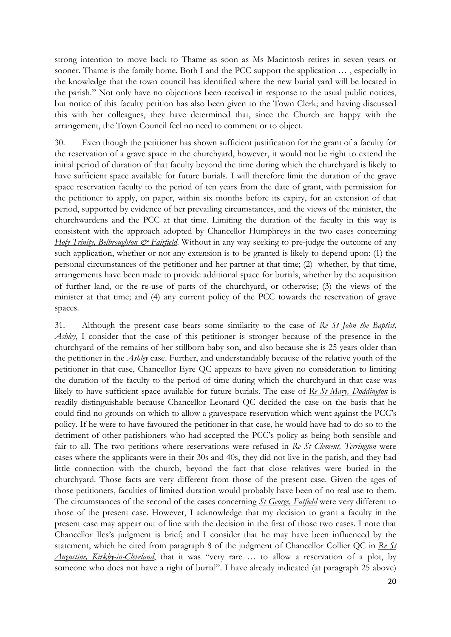strong intention to move back to Thame as soon as Ms Macintosh retires in seven years or sooner. Thame is the family home. Both I and the PCC support the application … , especially in the knowledge that the town council has identified where the new burial yard will be located in the parish." Not only have no objections been received in response to the usual public notices, but notice of this faculty petition has also been given to the Town Clerk; and having discussed this with her colleagues, they have determined that, since the Church are happy with the arrangement, the Town Council feel no need to comment or to object.

30. Even though the petitioner has shown sufficient justification for the grant of a faculty for the reservation of a grave space in the churchyard, however, it would not be right to extend the initial period of duration of that faculty beyond the time during which the churchyard is likely to have sufficient space available for future burials. I will therefore limit the duration of the grave space reservation faculty to the period of ten years from the date of grant, with permission for the petitioner to apply, on paper, within six months before its expiry, for an extension of that period, supported by evidence of her prevailing circumstances, and the views of the minister, the churchwardens and the PCC at that time. Limiting the duration of the faculty in this way is consistent with the approach adopted by Chancellor Humphreys in the two cases concerning *Holy Trinity, Belbroughton*  $\mathcal{Q}^*$  *Fairfield*. Without in any way seeking to pre-judge the outcome of any such application, whether or not any extension is to be granted is likely to depend upon: (1) the personal circumstances of the petitioner and her partner at that time; (2) whether, by that time, arrangements have been made to provide additional space for burials, whether by the acquisition of further land, or the re-use of parts of the churchyard, or otherwise; (3) the views of the minister at that time; and (4) any current policy of the PCC towards the reservation of grave spaces.

31. Although the present case bears some similarity to the case of *Re St John the Baptist, Ashley*, I consider that the case of this petitioner is stronger because of the presence in the churchyard of the remains of her stillborn baby son, and also because she is 25 years older than the petitioner in the *Ashley* case. Further, and understandably because of the relative youth of the petitioner in that case, Chancellor Eyre QC appears to have given no consideration to limiting the duration of the faculty to the period of time during which the churchyard in that case was likely to have sufficient space available for future burials. The case of *Re St Mary, Doddington* is readily distinguishable because Chancellor Leonard QC decided the case on the basis that he could find no grounds on which to allow a gravespace reservation which went against the PCC's policy. If he were to have favoured the petitioner in that case, he would have had to do so to the detriment of other parishioners who had accepted the PCC's policy as being both sensible and fair to all. The two petitions where reservations were refused in *Re St Clement, Terrington* were cases where the applicants were in their 30s and 40s, they did not live in the parish, and they had little connection with the church, beyond the fact that close relatives were buried in the churchyard. Those facts are very different from those of the present case. Given the ages of those petitioners, faculties of limited duration would probably have been of no real use to them. The circumstances of the second of the cases concerning *St George, Fatfield* were very different to those of the present case. However, I acknowledge that my decision to grant a faculty in the present case may appear out of line with the decision in the first of those two cases. I note that Chancellor Iles's judgment is brief; and I consider that he may have been influenced by the statement, which he cited from paragraph 8 of the judgment of Chancellor Collier QC in *Re St Augustine, Kirkby-in-Cleveland*, that it was "very rare … to allow a reservation of a plot, by someone who does not have a right of burial". I have already indicated (at paragraph 25 above)